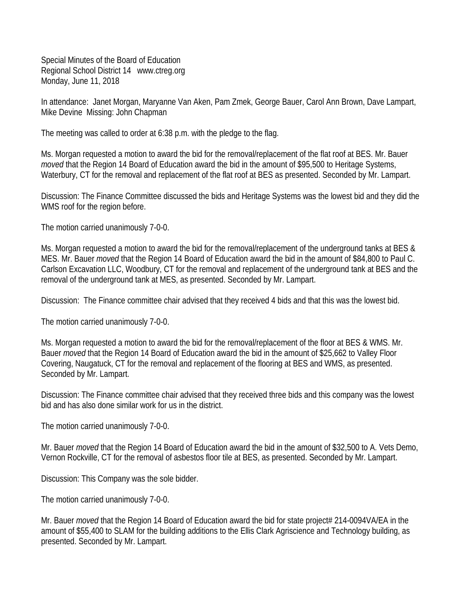Special Minutes of the Board of Education Regional School District 14 www.ctreg.org Monday, June 11, 2018

In attendance: Janet Morgan, Maryanne Van Aken, Pam Zmek, George Bauer, Carol Ann Brown, Dave Lampart, Mike Devine Missing: John Chapman

The meeting was called to order at 6:38 p.m. with the pledge to the flag.

Ms. Morgan requested a motion to award the bid for the removal/replacement of the flat roof at BES. Mr. Bauer *moved* that the Region 14 Board of Education award the bid in the amount of \$95,500 to Heritage Systems, Waterbury, CT for the removal and replacement of the flat roof at BES as presented. Seconded by Mr. Lampart.

Discussion: The Finance Committee discussed the bids and Heritage Systems was the lowest bid and they did the WMS roof for the region before.

The motion carried unanimously 7-0-0.

Ms. Morgan requested a motion to award the bid for the removal/replacement of the underground tanks at BES & MES. Mr. Bauer *moved* that the Region 14 Board of Education award the bid in the amount of \$84,800 to Paul C. Carlson Excavation LLC, Woodbury, CT for the removal and replacement of the underground tank at BES and the removal of the underground tank at MES, as presented. Seconded by Mr. Lampart.

Discussion: The Finance committee chair advised that they received 4 bids and that this was the lowest bid.

The motion carried unanimously 7-0-0.

Ms. Morgan requested a motion to award the bid for the removal/replacement of the floor at BES & WMS. Mr. Bauer *moved* that the Region 14 Board of Education award the bid in the amount of \$25,662 to Valley Floor Covering, Naugatuck, CT for the removal and replacement of the flooring at BES and WMS, as presented. Seconded by Mr. Lampart.

Discussion: The Finance committee chair advised that they received three bids and this company was the lowest bid and has also done similar work for us in the district.

The motion carried unanimously 7-0-0.

Mr. Bauer *moved* that the Region 14 Board of Education award the bid in the amount of \$32,500 to A. Vets Demo, Vernon Rockville, CT for the removal of asbestos floor tile at BES, as presented. Seconded by Mr. Lampart.

Discussion: This Company was the sole bidder.

The motion carried unanimously 7-0-0.

Mr. Bauer *moved* that the Region 14 Board of Education award the bid for state project# 214-0094VA/EA in the amount of \$55,400 to SLAM for the building additions to the Ellis Clark Agriscience and Technology building, as presented. Seconded by Mr. Lampart.